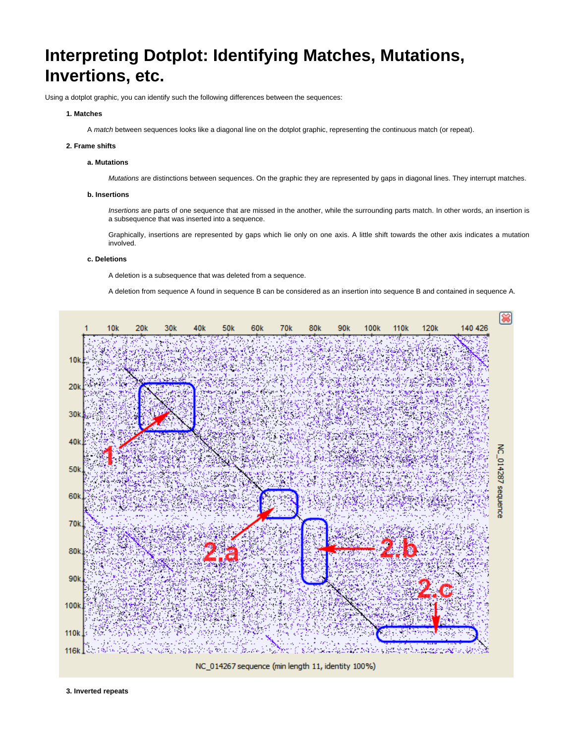# **Interpreting Dotplot: Identifying Matches, Mutations, Invertions, etc.**

Using a dotplot graphic, you can identify such the following differences between the sequences:

# **1. Matches**

A match between sequences looks like a diagonal line on the dotplot graphic, representing the continuous match (or repeat).

#### **2. Frame shifts**

# **a. Mutations**

Mutations are distinctions between sequences. On the graphic they are represented by gaps in diagonal lines. They interrupt matches.

#### **b. Insertions**

Insertions are parts of one sequence that are missed in the another, while the surrounding parts match. In other words, an insertion is a subsequence that was inserted into a sequence.

Graphically, insertions are represented by gaps which lie only on one axis. A little shift towards the other axis indicates a mutation involved.

### **c. Deletions**

A deletion is a subsequence that was deleted from a sequence.

A deletion from sequence A found in sequence B can be considered as an insertion into sequence B and contained in sequence A.



**3. Inverted repeats**